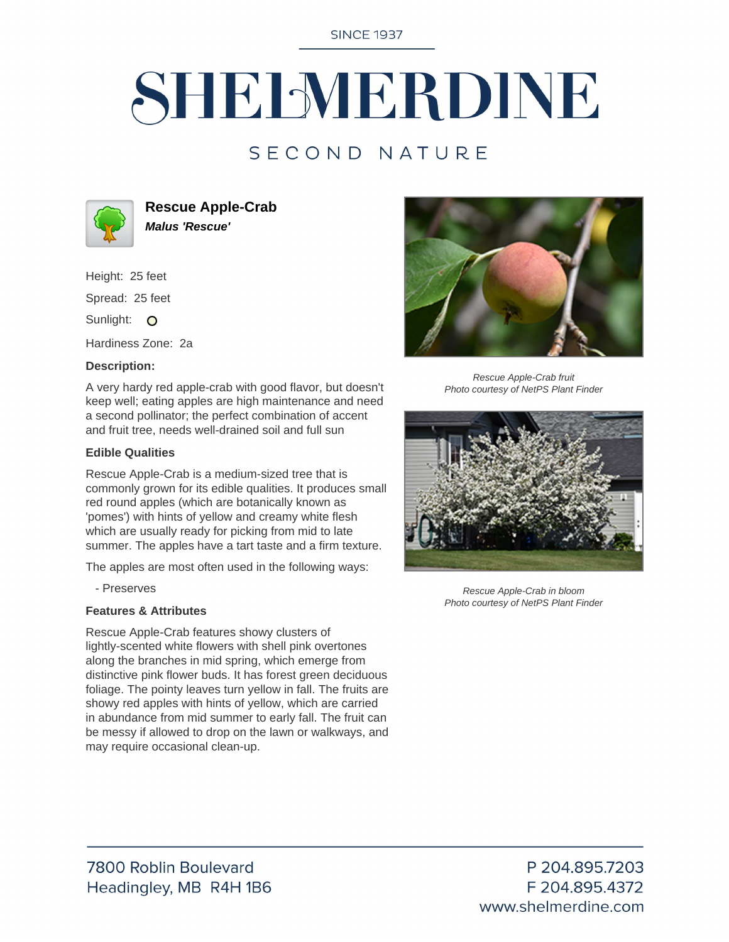**SINCE 1937** 

# SHELMERDINE

### SECOND NATURE



**Rescue Apple-Crab Malus 'Rescue'**

Height: 25 feet

Spread: 25 feet

Sunlight: O

Hardiness Zone: 2a

#### **Description:**

A very hardy red apple-crab with good flavor, but doesn't keep well; eating apples are high maintenance and need a second pollinator; the perfect combination of accent and fruit tree, needs well-drained soil and full sun

#### **Edible Qualities**

Rescue Apple-Crab is a medium-sized tree that is commonly grown for its edible qualities. It produces small red round apples (which are botanically known as 'pomes') with hints of yellow and creamy white flesh which are usually ready for picking from mid to late summer. The apples have a tart taste and a firm texture.

The apples are most often used in the following ways:

- Preserves

#### **Features & Attributes**

Rescue Apple-Crab features showy clusters of lightly-scented white flowers with shell pink overtones along the branches in mid spring, which emerge from distinctive pink flower buds. It has forest green deciduous foliage. The pointy leaves turn yellow in fall. The fruits are showy red apples with hints of yellow, which are carried in abundance from mid summer to early fall. The fruit can be messy if allowed to drop on the lawn or walkways, and may require occasional clean-up.



Rescue Apple-Crab fruit Photo courtesy of NetPS Plant Finder



Rescue Apple-Crab in bloom Photo courtesy of NetPS Plant Finder